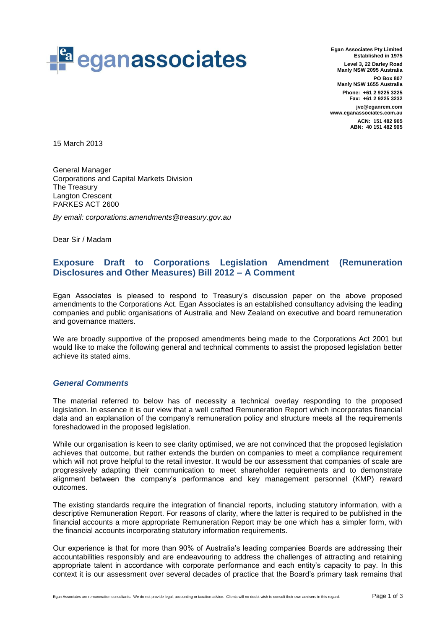

**Egan Associates Pty Limited Established in 1975 Level 3, 22 Darley Road Manly NSW 2095 Australia PO Box 807 Manly NSW 1655 Australia Phone: +61 2 9225 3225 Fax: +61 2 9225 3232 jve@eganrem.com www.eganassociates.com.au ACN: 151 482 905 ABN: 40 151 482 905**

15 March 2013

General Manager Corporations and Capital Markets Division The Treasury Langton Crescent PARKES ACT 2600

*By email: corporations.amendments@treasury.gov.au*

Dear Sir / Madam

## **Exposure Draft to Corporations Legislation Amendment (Remuneration Disclosures and Other Measures) Bill 2012 – A Comment**

Egan Associates is pleased to respond to Treasury's discussion paper on the above proposed amendments to the Corporations Act. Egan Associates is an established consultancy advising the leading companies and public organisations of Australia and New Zealand on executive and board remuneration and governance matters.

We are broadly supportive of the proposed amendments being made to the Corporations Act 2001 but would like to make the following general and technical comments to assist the proposed legislation better achieve its stated aims.

## *General Comments*

The material referred to below has of necessity a technical overlay responding to the proposed legislation. In essence it is our view that a well crafted Remuneration Report which incorporates financial data and an explanation of the company's remuneration policy and structure meets all the requirements foreshadowed in the proposed legislation.

While our organisation is keen to see clarity optimised, we are not convinced that the proposed legislation achieves that outcome, but rather extends the burden on companies to meet a compliance requirement which will not prove helpful to the retail investor. It would be our assessment that companies of scale are progressively adapting their communication to meet shareholder requirements and to demonstrate alignment between the company's performance and key management personnel (KMP) reward outcomes.

The existing standards require the integration of financial reports, including statutory information, with a descriptive Remuneration Report. For reasons of clarity, where the latter is required to be published in the financial accounts a more appropriate Remuneration Report may be one which has a simpler form, with the financial accounts incorporating statutory information requirements.

Our experience is that for more than 90% of Australia's leading companies Boards are addressing their accountabilities responsibly and are endeavouring to address the challenges of attracting and retaining appropriate talent in accordance with corporate performance and each entity's capacity to pay. In this context it is our assessment over several decades of practice that the Board's primary task remains that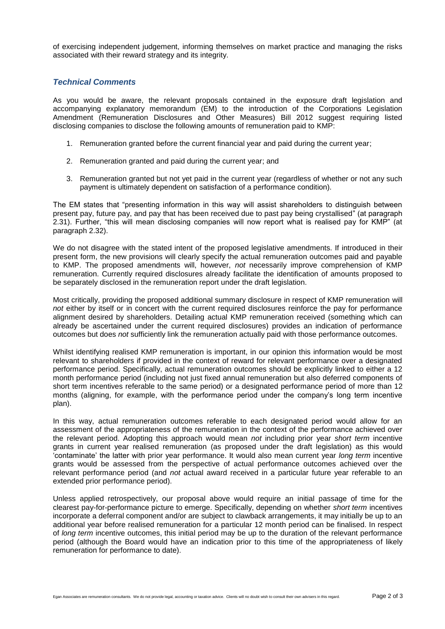of exercising independent judgement, informing themselves on market practice and managing the risks associated with their reward strategy and its integrity.

## *Technical Comments*

As you would be aware, the relevant proposals contained in the exposure draft legislation and accompanying explanatory memorandum (EM) to the introduction of the Corporations Legislation Amendment (Remuneration Disclosures and Other Measures) Bill 2012 suggest requiring listed disclosing companies to disclose the following amounts of remuneration paid to KMP:

- 1. Remuneration granted before the current financial year and paid during the current year;
- 2. Remuneration granted and paid during the current year; and
- 3. Remuneration granted but not yet paid in the current year (regardless of whether or not any such payment is ultimately dependent on satisfaction of a performance condition).

The EM states that "presenting information in this way will assist shareholders to distinguish between present pay, future pay, and pay that has been received due to past pay being crystallised" (at paragraph 2.31). Further, "this will mean disclosing companies will now report what is realised pay for KMP" (at paragraph 2.32).

We do not disagree with the stated intent of the proposed legislative amendments. If introduced in their present form, the new provisions will clearly specify the actual remuneration outcomes paid and payable to KMP. The proposed amendments will, however, *not* necessarily improve comprehension of KMP remuneration. Currently required disclosures already facilitate the identification of amounts proposed to be separately disclosed in the remuneration report under the draft legislation.

Most critically, providing the proposed additional summary disclosure in respect of KMP remuneration will *not* either by itself or in concert with the current required disclosures reinforce the pay for performance alignment desired by shareholders. Detailing actual KMP remuneration received (something which can already be ascertained under the current required disclosures) provides an indication of performance outcomes but does *not* sufficiently link the remuneration actually paid with those performance outcomes.

Whilst identifying realised KMP remuneration is important, in our opinion this information would be most relevant to shareholders if provided in the context of reward for relevant performance over a designated performance period. Specifically, actual remuneration outcomes should be explicitly linked to either a 12 month performance period (including not just fixed annual remuneration but also deferred components of short term incentives referable to the same period) or a designated performance period of more than 12 months (aligning, for example, with the performance period under the company's long term incentive plan).

In this way, actual remuneration outcomes referable to each designated period would allow for an assessment of the appropriateness of the remuneration in the context of the performance achieved over the relevant period. Adopting this approach would mean *not* including prior year *short term* incentive grants in current year realised remuneration (as proposed under the draft legislation) as this would 'contaminate' the latter with prior year performance. It would also mean current year *long term* incentive grants would be assessed from the perspective of actual performance outcomes achieved over the relevant performance period (and *not* actual award received in a particular future year referable to an extended prior performance period).

Unless applied retrospectively, our proposal above would require an initial passage of time for the clearest pay-for-performance picture to emerge. Specifically, depending on whether *short term* incentives incorporate a deferral component and/or are subject to clawback arrangements, it may initially be up to an additional year before realised remuneration for a particular 12 month period can be finalised. In respect of *long term* incentive outcomes, this initial period may be up to the duration of the relevant performance period (although the Board would have an indication prior to this time of the appropriateness of likely remuneration for performance to date).